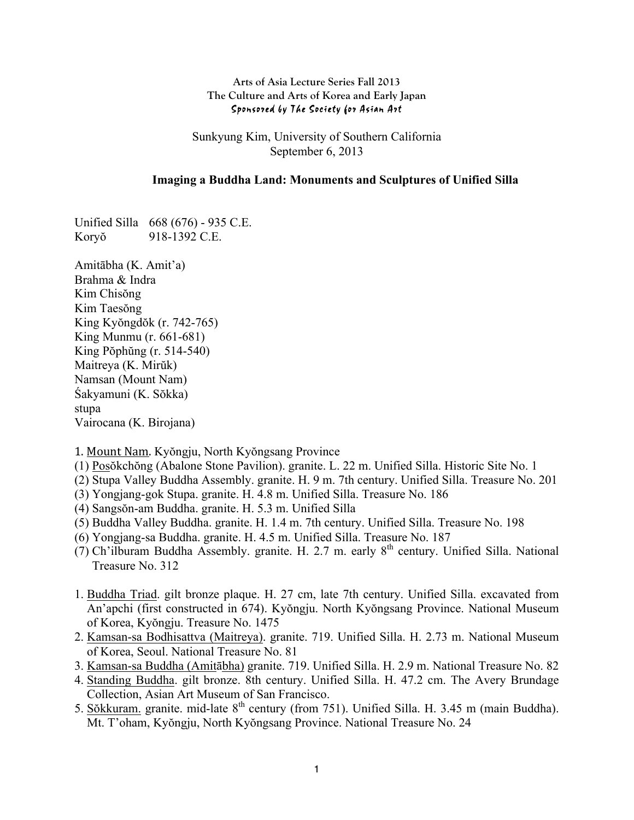#### **Arts of Asia Lecture Series Fall 2013 The Culture and Arts of Korea and Early Japan** Sponsored by The Society for Asian Art

Sunkyung Kim, University of Southern California September 6, 2013

### **Imaging a Buddha Land: Monuments and Sculptures of Unified Silla**

Unified Silla 668 (676) - 935 C.E. Koryŏ 918-1392 C.E.

Amitābha (K. Amit'a) Brahma & Indra Kim Chisŏng Kim Taesŏng King Kyŏngdŏk (r. 742-765) King Munmu (r. 661-681) King Pŏphŭng (r. 514-540) Maitreya (K. Mirŭk) Namsan (Mount Nam) Śakyamuni (K. Sŏkka) stupa Vairocana (K. Birojana)

1. Mount Nam. Kyŏngju, North Kyŏngsang Province

- (1) Posŏkchŏng (Abalone Stone Pavilion). granite. L. 22 m. Unified Silla. Historic Site No. 1
- (2) Stupa Valley Buddha Assembly. granite. H. 9 m. 7th century. Unified Silla. Treasure No. 201
- (3) Yongjang-gok Stupa. granite. H. 4.8 m. Unified Silla. Treasure No. 186
- (4) Sangsŏn-am Buddha. granite. H. 5.3 m. Unified Silla
- (5) Buddha Valley Buddha. granite. H. 1.4 m. 7th century. Unified Silla. Treasure No. 198
- (6) Yongjang-sa Buddha. granite. H. 4.5 m. Unified Silla. Treasure No. 187
- (7) Ch'ilburam Buddha Assembly. granite. H.  $2.7 \text{ m}$ . early  $8^{\text{th}}$  century. Unified Silla. National Treasure No. 312
- 1. Buddha Triad. gilt bronze plaque. H. 27 cm, late 7th century. Unified Silla. excavated from An'apchi (first constructed in 674). Kyŏngju. North Kyŏngsang Province. National Museum of Korea, Kyŏngju. Treasure No. 1475
- 2. Kamsan-sa Bodhisattva (Maitreya). granite. 719. Unified Silla. H. 2.73 m. National Museum of Korea, Seoul. National Treasure No. 81
- 3. Kamsan-sa Buddha (Amitābha) granite. 719. Unified Silla. H. 2.9 m. National Treasure No. 82
- 4. Standing Buddha. gilt bronze. 8th century. Unified Silla. H. 47.2 cm. The Avery Brundage Collection, Asian Art Museum of San Francisco.
- 5. Sŏkkuram. granite. mid-late 8<sup>th</sup> century (from 751). Unified Silla. H. 3.45 m (main Buddha). Mt. T'oham, Kyŏngju, North Kyŏngsang Province. National Treasure No. 24